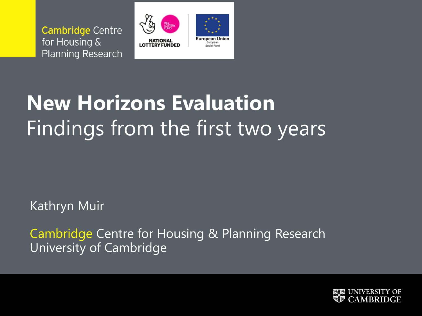**Cambridge Centre** for Housing & **Planning Research** 



# **New Horizons Evaluation** Findings from the first two years

Kathryn Muir

Cambridge Centre for Housing & Planning Research University of Cambridge

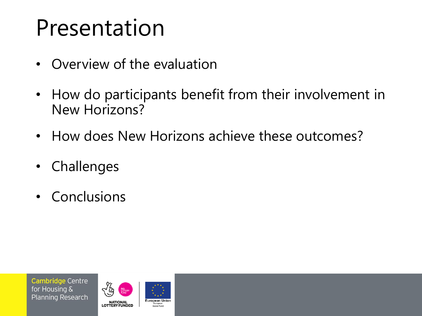# Presentation

- Overview of the evaluation
- How do participants benefit from their involvement in New Horizons?
- How does New Horizons achieve these outcomes?
- Challenges
- Conclusions

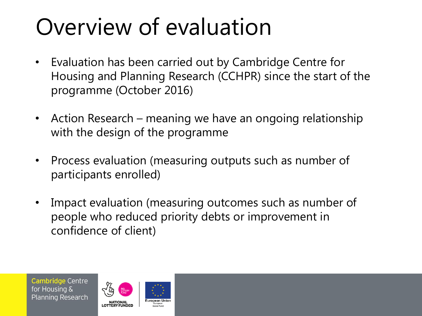# Overview of evaluation

- Evaluation has been carried out by Cambridge Centre for Housing and Planning Research (CCHPR) since the start of the programme (October 2016)
- Action Research meaning we have an ongoing relationship with the design of the programme
- Process evaluation (measuring outputs such as number of participants enrolled)
- Impact evaluation (measuring outcomes such as number of people who reduced priority debts or improvement in confidence of client)

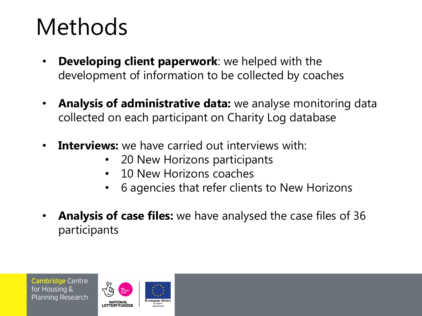# Methods

- **Developing client paperwork**: we helped with the development of information to be collected by coaches
- **Analysis of administrative data:** we analyse monitoring data collected on each participant on Charity Log database
- **Interviews:** we have carried out interviews with:
	- 20 New Horizons participants
	- 10 New Horizons coaches
	- 6 agencies that refer clients to New Horizons
- **Analysis of case files:** we have analysed the case files of 36 participants

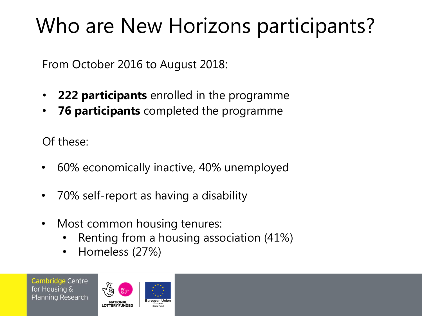# Who are New Horizons participants?

From October 2016 to August 2018:

- **222 participants** enrolled in the programme
- **76 participants** completed the programme

Of these:

- 60% economically inactive, 40% unemployed
- 70% self-report as having a disability
- Most common housing tenures:
	- Renting from a housing association (41%)
	- Homeless (27%)

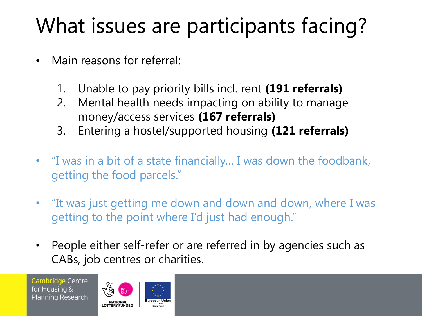# What issues are participants facing?

- Main reasons for referral:
	- 1. Unable to pay priority bills incl. rent **(191 referrals)**
	- 2. Mental health needs impacting on ability to manage money/access services **(167 referrals)**
	- 3. Entering a hostel/supported housing **(121 referrals)**
- "I was in a bit of a state financially… I was down the foodbank, getting the food parcels."
- "It was just getting me down and down and down, where I was getting to the point where I'd just had enough."
- People either self-refer or are referred in by agencies such as CABs, job centres or charities.

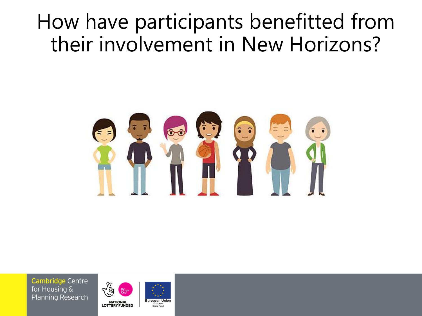# How have participants benefitted from their involvement in New Horizons?



Cambridge Centre for Housing & **Planning Research** 



European<br>Social Fund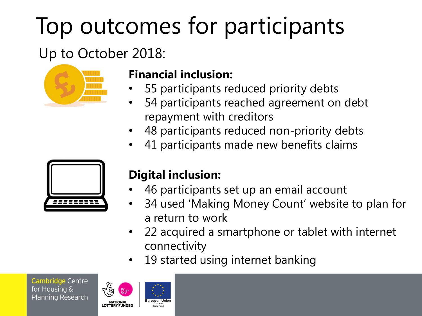# Top outcomes for participants

# Up to October 2018:



# **Financial inclusion:**

- 55 participants reduced priority debts
- 54 participants reached agreement on debt repayment with creditors
- 48 participants reduced non-priority debts
- 41 participants made new benefits claims



# **Digital inclusion:**

- 46 participants set up an email account
- 34 used 'Making Money Count' website to plan for a return to work
- 22 acquired a smartphone or tablet with internet connectivity
- 19 started using internet banking

Cambridge Centre for Housing & **Planning Research** 



European Unio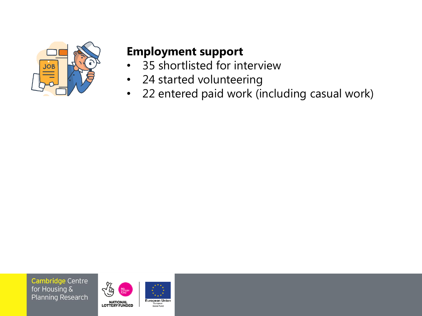

#### **Employment support**

- 35 shortlisted for interview
- 24 started volunteering
- 22 entered paid work (including casual work)

**Cambridge Centre** for Housing & **Planning Research** 



European<br>Social Fund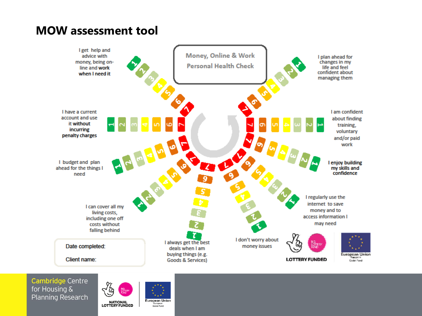#### **MOW assessment tool**



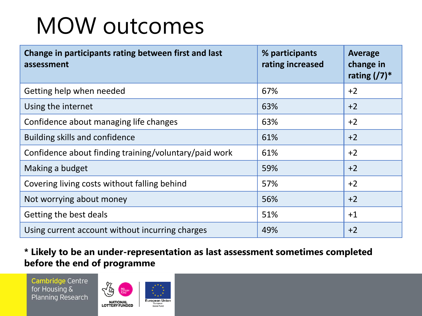# MOW outcomes

| Change in participants rating between first and last<br>assessment | % participants<br>rating increased | <b>Average</b><br>change in<br>rating $(7)^*$ |
|--------------------------------------------------------------------|------------------------------------|-----------------------------------------------|
| Getting help when needed                                           | 67%                                | $+2$                                          |
| Using the internet                                                 | 63%                                | $+2$                                          |
| Confidence about managing life changes                             | 63%                                | $+2$                                          |
| <b>Building skills and confidence</b>                              | 61%                                | $+2$                                          |
| Confidence about finding training/voluntary/paid work              | 61%                                | $+2$                                          |
| Making a budget                                                    | 59%                                | $+2$                                          |
| Covering living costs without falling behind                       | 57%                                | $+2$                                          |
| Not worrying about money                                           | 56%                                | $+2$                                          |
| Getting the best deals                                             | 51%                                | $+1$                                          |
| Using current account without incurring charges                    | 49%                                | $+2$                                          |

#### **\* Likely to be an under-representation as last assessment sometimes completed before the end of programme**

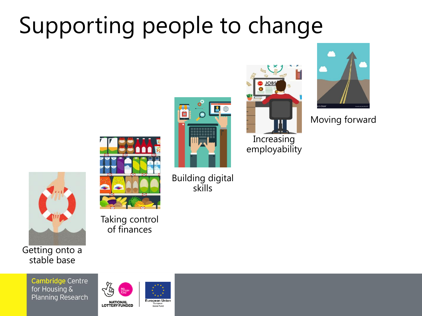# Supporting people to change



Getting onto a stable base

> **Cambridge Centre** for Housing & **Planning Research**



European<br>Social Fund

Taking control of finances



Building digital skills



Moving forward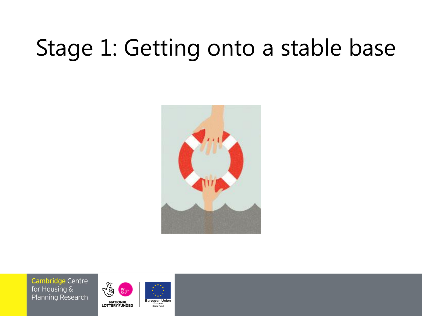# Stage 1: Getting onto a stable base



**Cambridge Centre** for Housing & **Planning Research** 



**European Union** European<br>Social Fund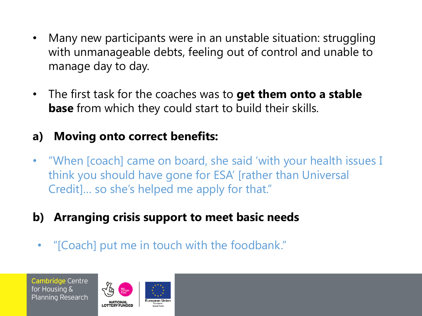- Many new participants were in an unstable situation: struggling with unmanageable debts, feeling out of control and unable to manage day to day.
- The first task for the coaches was to **get them onto a stable base** from which they could start to build their skills.

#### **a) Moving onto correct benefits:**

- "When [coach] came on board, she said 'with your health issues I think you should have gone for ESA' [rather than Universal Credit]… so she's helped me apply for that."
- **b) Arranging crisis support to meet basic needs**
- "[Coach] put me in touch with the foodbank."

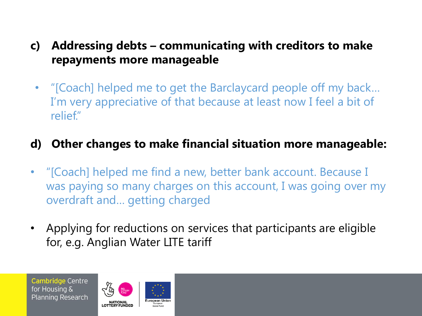- **c) Addressing debts – communicating with creditors to make repayments more manageable**
	- "[Coach] helped me to get the Barclaycard people off my back… I'm very appreciative of that because at least now I feel a bit of relief."

#### **d) Other changes to make financial situation more manageable:**

- "[Coach] helped me find a new, better bank account. Because I was paying so many charges on this account, I was going over my overdraft and… getting charged
- Applying for reductions on services that participants are eligible for, e.g. Anglian Water LITE tariff

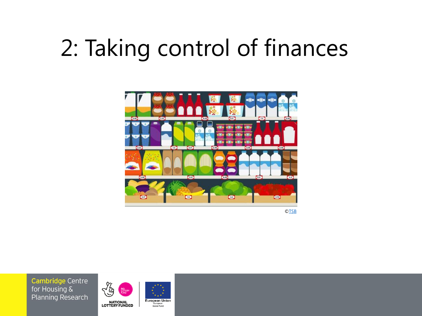# 2: Taking control of finances



©[TSB](https://www.tsb.co.uk/straightforward-money/save-on-your-food-shop/)

**Cambridge Centre** for Housing & **Planning Research** 



European<br>Social Fund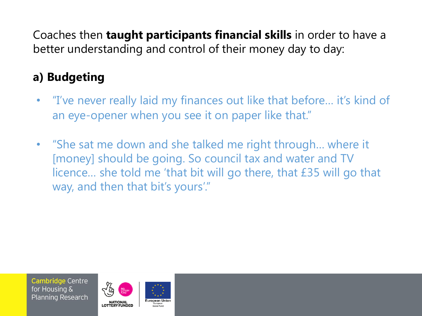Coaches then **taught participants financial skills** in order to have a better understanding and control of their money day to day:

# **a) Budgeting**

- "I've never really laid my finances out like that before... it's kind of an eye-opener when you see it on paper like that."
- "She sat me down and she talked me right through… where it [money] should be going. So council tax and water and TV licence… she told me 'that bit will go there, that £35 will go that way, and then that bit's yours'."

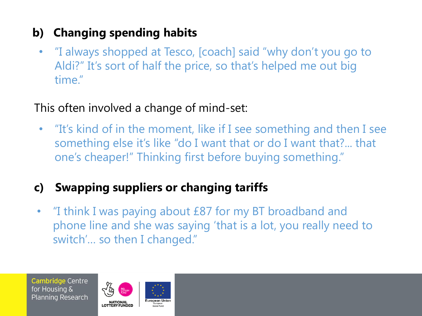# **b) Changing spending habits**

• "I always shopped at Tesco, [coach] said "why don't you go to Aldi?" It's sort of half the price, so that's helped me out big time."

### This often involved a change of mind-set:

• "It's kind of in the moment, like if I see something and then I see something else it's like "do I want that or do I want that?... that one's cheaper!" Thinking first before buying something."

# **c) Swapping suppliers or changing tariffs**

• "I think I was paying about £87 for my BT broadband and phone line and she was saying 'that is a lot, you really need to switch'… so then I changed."

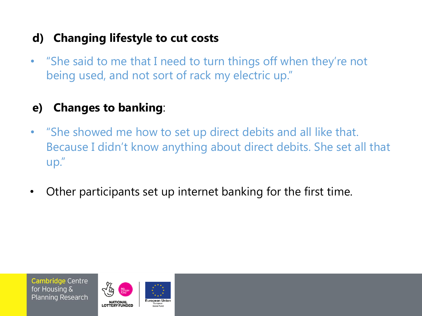### **d) Changing lifestyle to cut costs**

• "She said to me that I need to turn things off when they're not being used, and not sort of rack my electric up."

## **e) Changes to banking**:

- "She showed me how to set up direct debits and all like that. Because I didn't know anything about direct debits. She set all that up."
- Other participants set up internet banking for the first time.

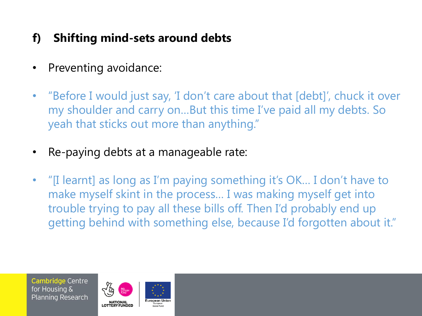# **f) Shifting mind-sets around debts**

- Preventing avoidance:
- "Before I would just say, 'I don't care about that [debt]', chuck it over my shoulder and carry on…But this time I've paid all my debts. So yeah that sticks out more than anything."
- Re-paying debts at a manageable rate:
- "[I learnt] as long as I'm paying something it's OK… I don't have to make myself skint in the process… I was making myself get into trouble trying to pay all these bills off. Then I'd probably end up getting behind with something else, because I'd forgotten about it."

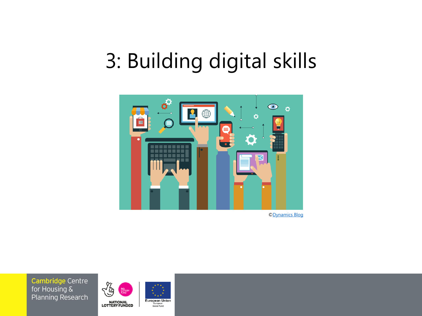# 3: Building digital skills



[©Dynamics Blog](https://dynamicsblog.it/api-di-un-software/)

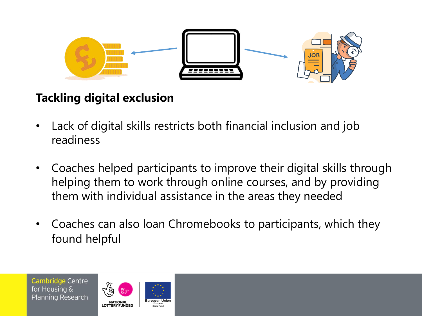

# **Tackling digital exclusion**

- Lack of digital skills restricts both financial inclusion and job readiness
- Coaches helped participants to improve their digital skills through helping them to work through online courses, and by providing them with individual assistance in the areas they needed
- Coaches can also loan Chromebooks to participants, which they found helpful

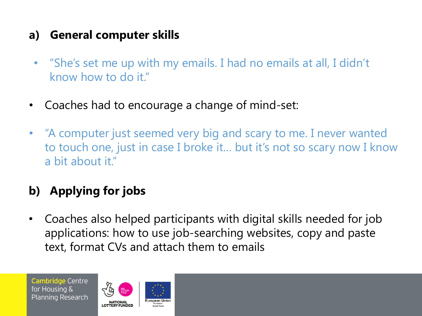### **a) General computer skills**

- "She's set me up with my emails. I had no emails at all, I didn't know how to do it."
- Coaches had to encourage a change of mind-set:
- "A computer just seemed very big and scary to me. I never wanted to touch one, just in case I broke it… but it's not so scary now I know a bit about it."

# **b) Applying for jobs**

• Coaches also helped participants with digital skills needed for job applications: how to use job-searching websites, copy and paste text, format CVs and attach them to emails

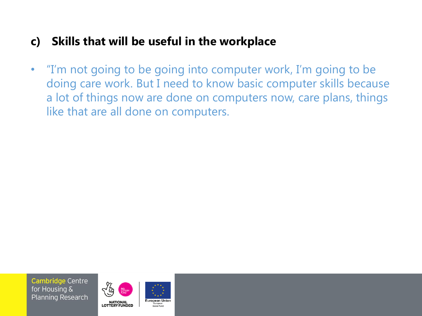#### **c) Skills that will be useful in the workplace**

• "I'm not going to be going into computer work, I'm going to be doing care work. But I need to know basic computer skills because a lot of things now are done on computers now, care plans, things like that are all done on computers.



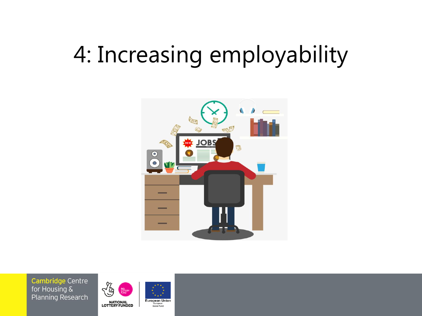# 4: Increasing employability





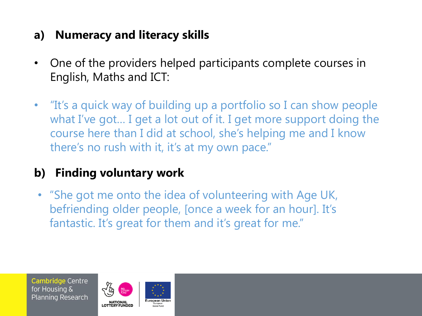### **a) Numeracy and literacy skills**

- One of the providers helped participants complete courses in English, Maths and ICT:
- "It's a quick way of building up a portfolio so I can show people what I've got… I get a lot out of it. I get more support doing the course here than I did at school, she's helping me and I know there's no rush with it, it's at my own pace."

# **b) Finding voluntary work**

• "She got me onto the idea of volunteering with Age UK, befriending older people, [once a week for an hour]. It's fantastic. It's great for them and it's great for me."

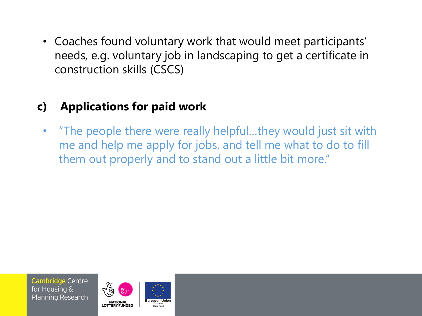• Coaches found voluntary work that would meet participants' needs, e.g. voluntary job in landscaping to get a certificate in construction skills (CSCS)

# **c) Applications for paid work**

• "The people there were really helpful…they would just sit with me and help me apply for jobs, and tell me what to do to fill them out properly and to stand out a little bit more."

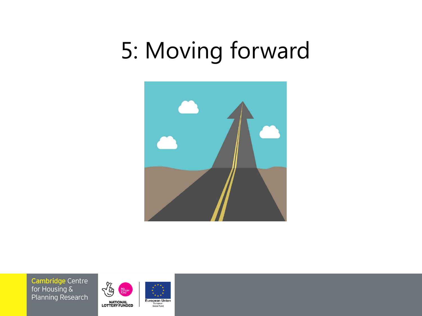# 5: Moving forward



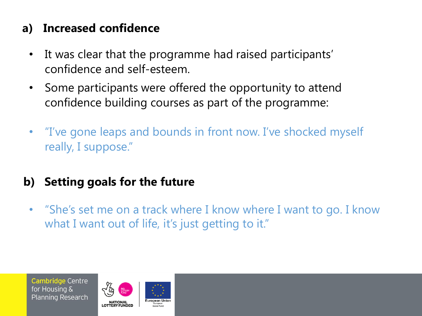### **a) Increased confidence**

- It was clear that the programme had raised participants' confidence and self-esteem.
- Some participants were offered the opportunity to attend confidence building courses as part of the programme:
- "I've gone leaps and bounds in front now. I've shocked myself really, I suppose."
- **b) Setting goals for the future**
	- "She's set me on a track where I know where I want to go. I know what I want out of life, it's just getting to it."

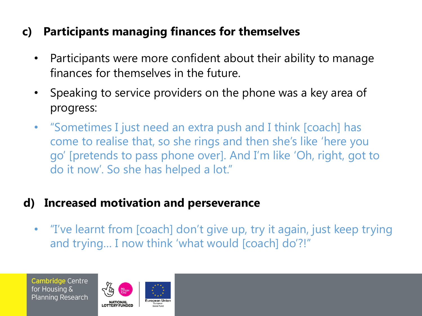### **c) Participants managing finances for themselves**

- Participants were more confident about their ability to manage finances for themselves in the future.
- Speaking to service providers on the phone was a key area of progress:
- "Sometimes I just need an extra push and I think [coach] has come to realise that, so she rings and then she's like 'here you go' [pretends to pass phone over]. And I'm like 'Oh, right, got to do it now'. So she has helped a lot."

#### **d) Increased motivation and perseverance**

• "I've learnt from [coach] don't give up, try it again, just keep trying and trying… I now think 'what would [coach] do'?!"

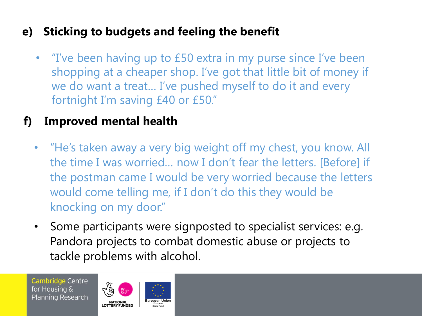### **e) Sticking to budgets and feeling the benefit**

• "I've been having up to £50 extra in my purse since I've been shopping at a cheaper shop. I've got that little bit of money if we do want a treat… I've pushed myself to do it and every fortnight I'm saving £40 or £50."

### **f) Improved mental health**

- "He's taken away a very big weight off my chest, you know. All the time I was worried… now I don't fear the letters. [Before] if the postman came I would be very worried because the letters would come telling me, if I don't do this they would be knocking on my door."
- Some participants were signposted to specialist services: e.g. Pandora projects to combat domestic abuse or projects to tackle problems with alcohol.

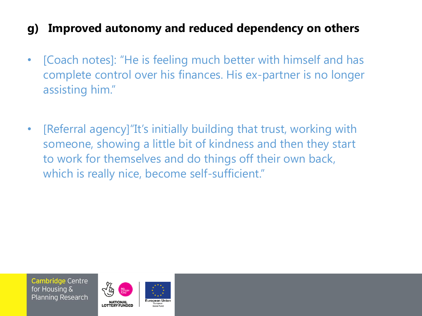### **g) Improved autonomy and reduced dependency on others**

- [Coach notes]: "He is feeling much better with himself and has complete control over his finances. His ex-partner is no longer assisting him."
- [Referral agency]"It's initially building that trust, working with someone, showing a little bit of kindness and then they start to work for themselves and do things off their own back, which is really nice, become self-sufficient."

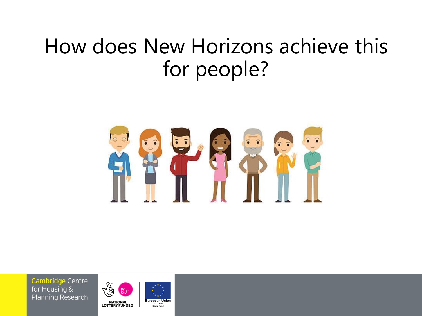# How does New Horizons achieve this for people?



**Cambridge Centre** for Housing & **Planning Research** 



European<br>Social Fund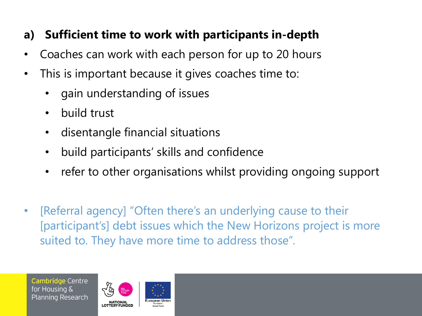### **a) Sufficient time to work with participants in-depth**

- Coaches can work with each person for up to 20 hours
- This is important because it gives coaches time to:
	- gain understanding of issues
	- build trust
	- disentangle financial situations
	- build participants' skills and confidence
	- refer to other organisations whilst providing ongoing support
- [Referral agency] "Often there's an underlying cause to their [participant's] debt issues which the New Horizons project is more suited to. They have more time to address those".

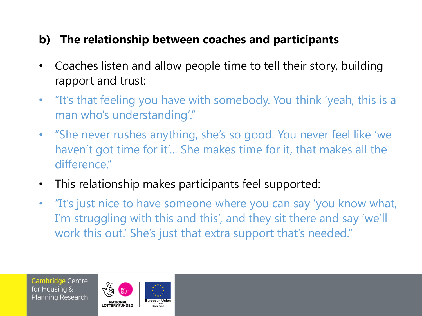#### **b) The relationship between coaches and participants**

- Coaches listen and allow people time to tell their story, building rapport and trust:
- "It's that feeling you have with somebody. You think 'yeah, this is a man who's understanding'."
- "She never rushes anything, she's so good. You never feel like 'we haven't got time for it'... She makes time for it, that makes all the difference."
- This relationship makes participants feel supported:
- "It's just nice to have someone where you can say 'you know what, I'm struggling with this and this', and they sit there and say 'we'll work this out.' She's just that extra support that's needed."

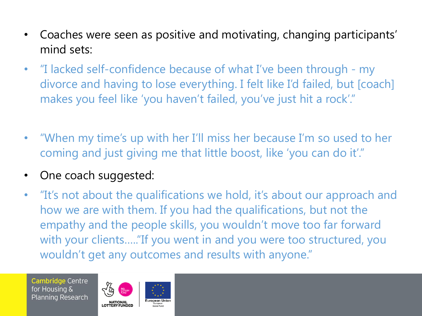- Coaches were seen as positive and motivating, changing participants' mind sets:
- "I lacked self-confidence because of what I've been through my divorce and having to lose everything. I felt like I'd failed, but [coach] makes you feel like 'you haven't failed, you've just hit a rock'."
- "When my time's up with her I'll miss her because I'm so used to her coming and just giving me that little boost, like 'you can do it'."
- One coach suggested:
- "It's not about the qualifications we hold, it's about our approach and how we are with them. If you had the qualifications, but not the empathy and the people skills, you wouldn't move too far forward with your clients….."If you went in and you were too structured, you wouldn't get any outcomes and results with anyone."

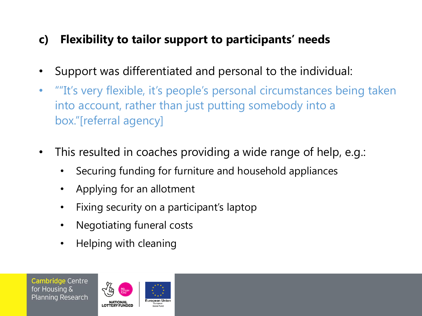# **c) Flexibility to tailor support to participants' needs**

- Support was differentiated and personal to the individual:
- ""It's very flexible, it's people's personal circumstances being taken into account, rather than just putting somebody into a box."[referral agency]
- This resulted in coaches providing a wide range of help, e.g.:
	- Securing funding for furniture and household appliances
	- Applying for an allotment
	- Fixing security on a participant's laptop
	- Negotiating funeral costs
	- Helping with cleaning

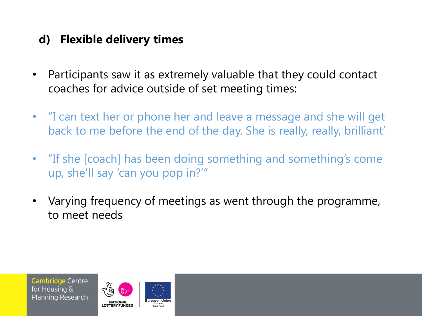#### **d) Flexible delivery times**

- Participants saw it as extremely valuable that they could contact coaches for advice outside of set meeting times:
- "I can text her or phone her and leave a message and she will get back to me before the end of the day. She is really, really, brilliant'
- "If she [coach] has been doing something and something's come up, she'll say 'can you pop in?'"
- Varying frequency of meetings as went through the programme, to meet needs

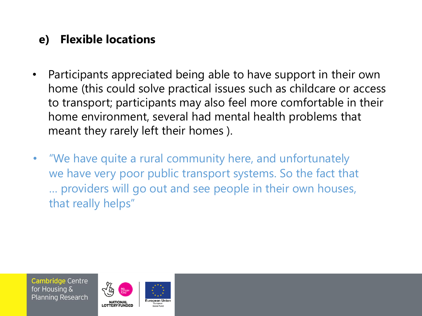### **e) Flexible locations**

- Participants appreciated being able to have support in their own home (this could solve practical issues such as childcare or access to transport; participants may also feel more comfortable in their home environment, several had mental health problems that meant they rarely left their homes ).
- "We have quite a rural community here, and unfortunately we have very poor public transport systems. So the fact that … providers will go out and see people in their own houses, that really helps"

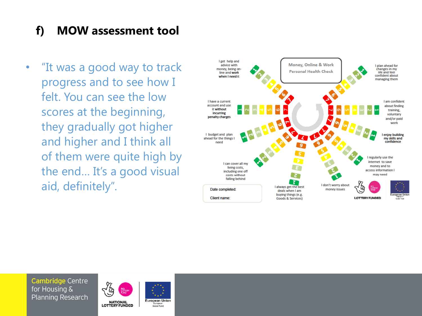### **f) MOW assessment tool**

• "It was a good way to track progress and to see how I felt. You can see the low scores at the beginning, they gradually got higher and higher and I think all of them were quite high by the end… It's a good visual aid, definitely".



**Cambridge Centre** for Housing & **Planning Research** 



European<br>Social Fund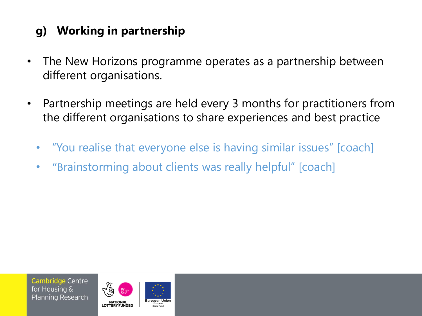# **g) Working in partnership**

- The New Horizons programme operates as a partnership between different organisations.
- Partnership meetings are held every 3 months for practitioners from the different organisations to share experiences and best practice
	- "You realise that everyone else is having similar issues" [coach]
	- "Brainstorming about clients was really helpful" [coach]

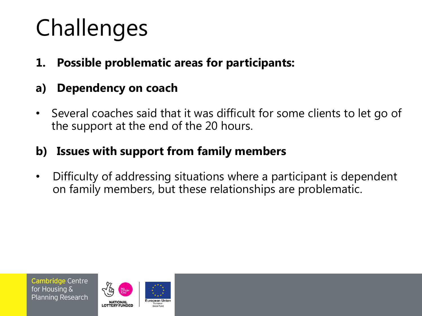# Challenges

- **1. Possible problematic areas for participants:**
- **a) Dependency on coach**
- Several coaches said that it was difficult for some clients to let go of the support at the end of the 20 hours.

### **b) Issues with support from family members**

• Difficulty of addressing situations where a participant is dependent on family members, but these relationships are problematic.

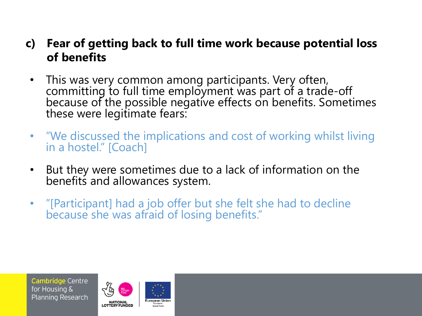#### **c) Fear of getting back to full time work because potential loss of benefits**

- This was very common among participants. Very often, committing to full time employment was part of a trade-off because of the possible negative effects on benefits. Sometimes these were legitimate fears:
- "We discussed the implications and cost of working whilst living in a hostel." [Coach]
- But they were sometimes due to a lack of information on the benefits and allowances system.
- "[Participant] had a job offer but she felt she had to decline because she was afraid of losing benefits."

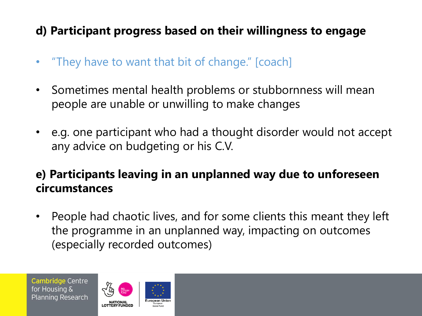# **d) Participant progress based on their willingness to engage**

- "They have to want that bit of change." [coach]
- Sometimes mental health problems or stubbornness will mean people are unable or unwilling to make changes
- e.g. one participant who had a thought disorder would not accept any advice on budgeting or his C.V.

### **e) Participants leaving in an unplanned way due to unforeseen circumstances**

• People had chaotic lives, and for some clients this meant they left the programme in an unplanned way, impacting on outcomes (especially recorded outcomes)

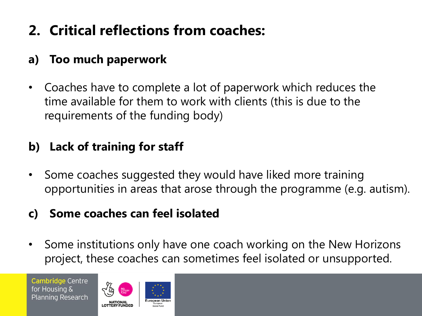# **2. Critical reflections from coaches:**

# **a) Too much paperwork**

• Coaches have to complete a lot of paperwork which reduces the time available for them to work with clients (this is due to the requirements of the funding body)

### **b) Lack of training for staff**

Some coaches suggested they would have liked more training opportunities in areas that arose through the programme (e.g. autism).

#### **c) Some coaches can feel isolated**

Some institutions only have one coach working on the New Horizons project, these coaches can sometimes feel isolated or unsupported.

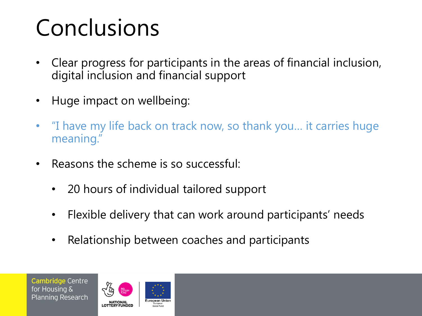# Conclusions

- Clear progress for participants in the areas of financial inclusion, digital inclusion and financial support
- Huge impact on wellbeing:
- "I have my life back on track now, so thank you… it carries huge meaning."
- Reasons the scheme is so successful:
	- 20 hours of individual tailored support
	- Flexible delivery that can work around participants' needs
	- Relationship between coaches and participants